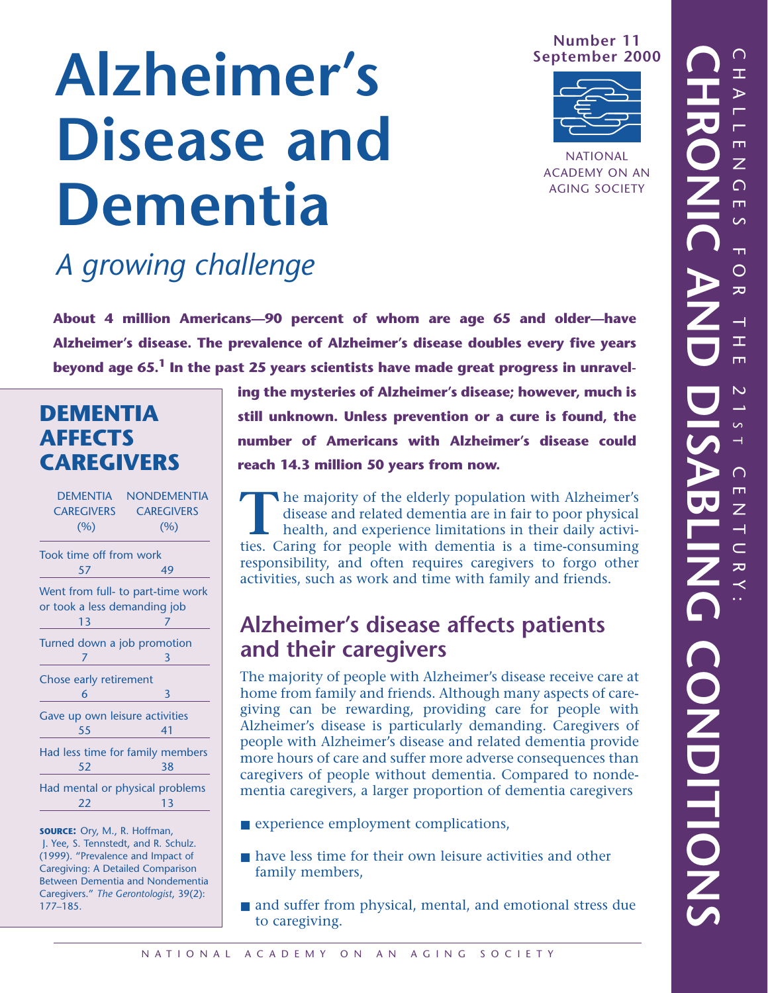**Number 11 September 2000**



NATIONAL ACADEMY ON AN AGING SOCIETY

# **Alzheimer's Disease and Dementia**

## *A growing challenge*

**About 4 million Americans—90 percent of whom are age 65 and older—have Alzheimer's disease. The prevalence of Alzheimer's disease doubles every five years beyond age 65.1 In the past 25 years scientists have made great progress in unravel-**

## **DEMENTIA AFFECTS CAREGIVERS**

| <b>DEMENTIA</b>                  | <b>NONDEMENTIA</b>                |  |
|----------------------------------|-----------------------------------|--|
| <b>CAREGIVERS</b>                | <b>CAREGIVERS</b>                 |  |
| (%)                              | (%)                               |  |
| Took time off from work          |                                   |  |
| 57                               | 49                                |  |
|                                  | Went from full- to part-time work |  |
| or took a less demanding job     |                                   |  |
| 13                               | 7                                 |  |
| Turned down a job promotion      |                                   |  |
| 7                                | 3                                 |  |
| Chose early retirement           |                                   |  |
| 6                                | 3                                 |  |
| Gave up own leisure activities   |                                   |  |
| 55                               | 41                                |  |
| Had less time for family members |                                   |  |
| 52                               | 38                                |  |
| Had mental or physical problems  |                                   |  |
| 22                               | 13                                |  |
|                                  |                                   |  |

**SOURCE:** Ory, M., R. Hoffman, J. Yee, S. Tennstedt, and R. Schulz. (1999). "Prevalence and Impact of Caregiving: A Detailed Comparison Between Dementia and Nondementia Caregivers." *The Gerontologist*, 39(2): 177–185.

**ing the mysteries of Alzheimer's disease; however, much is still unknown. Unless prevention or a cure is found, the number of Americans with Alzheimer's disease could reach 14.3 million 50 years from now.**

The majority of the elderly population with Alzheimer's<br>disease and related dementia are in fair to poor physical<br>health, and experience limitations in their daily activi-<br>ties. Caring for people with dementia is a time-co disease and related dementia are in fair to poor physical health, and experience limitations in their daily activities. Caring for people with dementia is a time-consuming responsibility, and often requires caregivers to forgo other activities, such as work and time with family and friends.

## **Alzheimer's disease affects patients and their caregivers**

The majority of people with Alzheimer's disease receive care at home from family and friends. Although many aspects of caregiving can be rewarding, providing care for people with Alzheimer's disease is particularly demanding. Caregivers of people with Alzheimer's disease and related dementia provide more hours of care and suffer more adverse consequences than caregivers of people without dementia. Compared to nondementia caregivers, a larger proportion of dementia caregivers

- experience employment complications,
- have less time for their own leisure activities and other family members,
- and suffer from physical, mental, and emotional stress due to caregiving.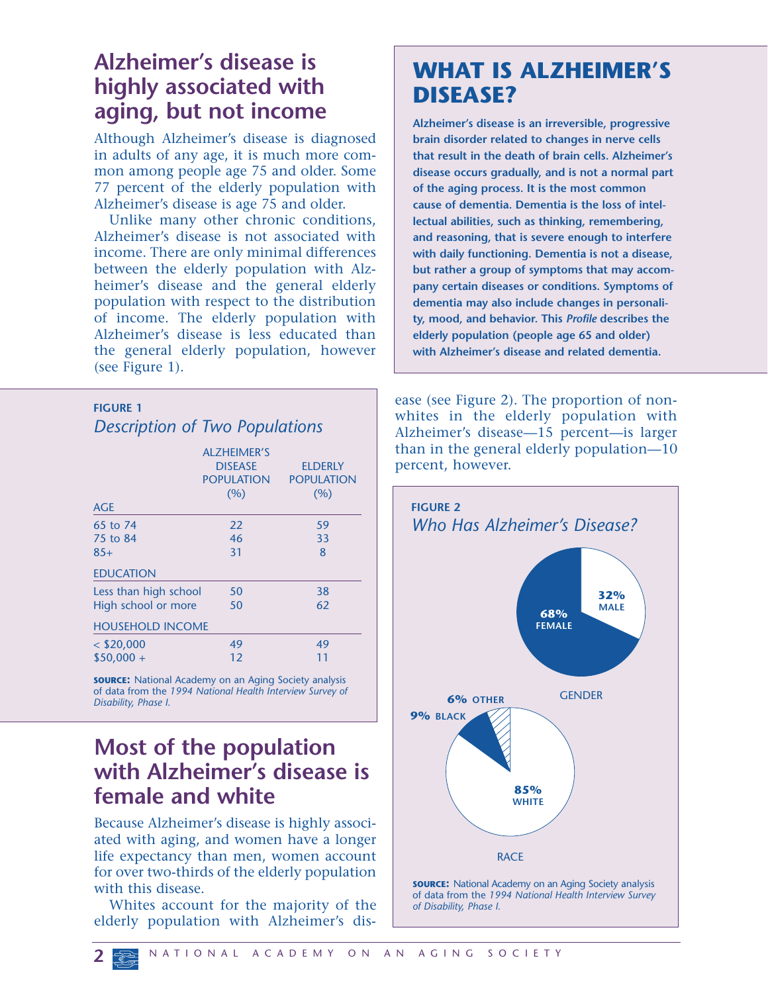#### **Alzheimer's disease is highly associated with aging, but not income**

Although Alzheimer's disease is diagnosed in adults of any age, it is much more common among people age 75 and older. Some 77 percent of the elderly population with Alzheimer's disease is age 75 and older.

Unlike many other chronic conditions, Alzheimer's disease is not associated with income. There are only minimal differences between the elderly population with Alzheimer's disease and the general elderly population with respect to the distribution of income. The elderly population with Alzheimer's disease is less educated than the general elderly population, however (see Figure 1).

#### **FIGURE 1** *Description of Two Populations*

| <b>AGE</b>              | <b>ALZHEIMER'S</b><br><b>DISEASE</b><br><b>POPULATION</b><br>(96) | <b>ELDERLY</b><br><b>POPULATION</b><br>(%) |
|-------------------------|-------------------------------------------------------------------|--------------------------------------------|
| 65 to 74                | 22                                                                | 59                                         |
| 75 to 84                | 46                                                                | 33                                         |
| $85+$                   | 31                                                                | 8                                          |
| <b>EDUCATION</b>        |                                                                   |                                            |
| Less than high school   | 50                                                                | 38                                         |
| High school or more     | 50                                                                | 62                                         |
| <b>HOUSEHOLD INCOME</b> |                                                                   |                                            |
| $<$ \$20,000            | 49                                                                | 49                                         |
| $$50,000 +$             | 12                                                                | 11                                         |

**SOURCE:** National Academy on an Aging Society analysis of data from the *1994 National Health Interview Survey of Disability, Phase I.*

#### **Most of the population with Alzheimer's disease is female and white**

Because Alzheimer's disease is highly associated with aging, and women have a longer life expectancy than men, women account for over two-thirds of the elderly population with this disease.

Whites account for the majority of the elderly population with Alzheimer's dis-

## **WHAT IS ALZHEIMER'S DISEASE?**

**Alzheimer's disease is an irreversible, progressive brain disorder related to changes in nerve cells that result in the death of brain cells. Alzheimer's disease occurs gradually, and is not a normal part of the aging process. It is the most common cause of dementia. Dementia is the loss of intellectual abilities, such as thinking, remembering, and reasoning, that is severe enough to interfere with daily functioning. Dementia is not a disease, but rather a group of symptoms that may accompany certain diseases or conditions. Symptoms of dementia may also include changes in personality, mood, and behavior. This** *Profile* **describes the elderly population (people age 65 and older) with Alzheimer's disease and related dementia.**

ease (see Figure 2). The proportion of nonwhites in the elderly population with Alzheimer's disease—15 percent—is larger than in the general elderly population—10 percent, however.

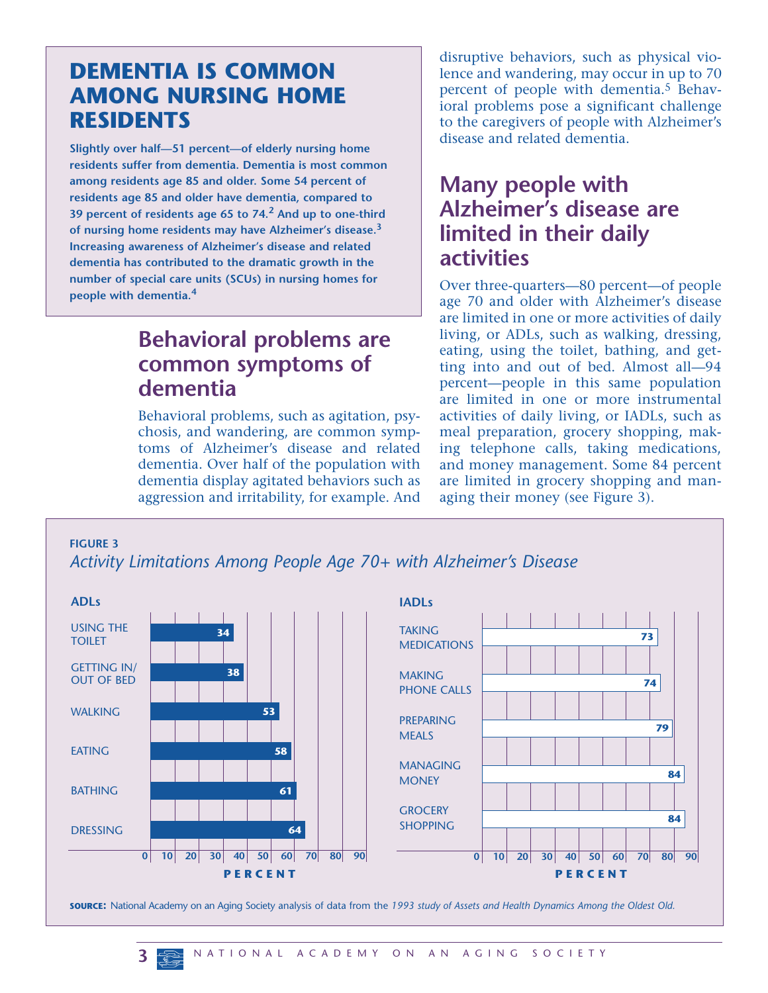#### **DEMENTIA IS COMMON AMONG NURSING HOME RESIDENTS**

**Slightly over half—51 percent—of elderly nursing home residents suffer from dementia. Dementia is most common among residents age 85 and older. Some 54 percent of residents age 85 and older have dementia, compared to 39 percent of residents age 65 to 74.<sup>2</sup> And up to one-third of nursing home residents may have Alzheimer's disease.<sup>3</sup> Increasing awareness of Alzheimer's disease and related dementia has contributed to the dramatic growth in the number of special care units (SCUs) in nursing homes for people with dementia.<sup>4</sup>**

#### **Behavioral problems are common symptoms of dementia**

Behavioral problems, such as agitation, psychosis, and wandering, are common symptoms of Alzheimer's disease and related dementia. Over half of the population with dementia display agitated behaviors such as aggression and irritability, for example. And

disruptive behaviors, such as physical violence and wandering, may occur in up to 70 percent of people with dementia.5 Behavioral problems pose a significant challenge to the caregivers of people with Alzheimer's disease and related dementia.

#### **Many people with Alzheimer's disease are limited in their daily activities**

Over three-quarters—80 percent—of people age 70 and older with Alzheimer's disease are limited in one or more activities of daily living, or ADLs, such as walking, dressing, eating, using the toilet, bathing, and getting into and out of bed. Almost all—94 percent—people in this same population are limited in one or more instrumental activities of daily living, or IADLs, such as meal preparation, grocery shopping, making telephone calls, taking medications, and money management. Some 84 percent are limited in grocery shopping and managing their money (see Figure 3).

**FIGURE 3**

*Activity Limitations Among People Age 70+ with Alzheimer's Disease*



**SOURCE:** National Academy on an Aging Society analysis of data from the *1993 study of Assets and Health Dynamics Among the Oldest Old.*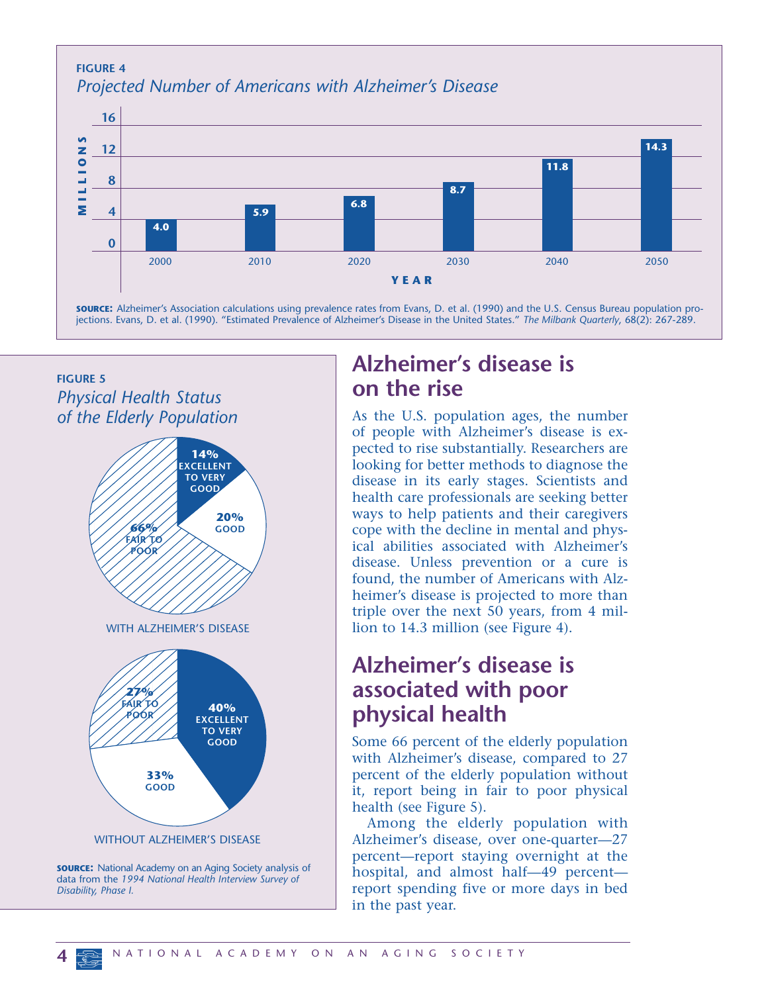

#### **FIGURE 5** *Physical Health Status of the Elderly Population*



data from the *1994 National Health Interview Survey of Disability, Phase I.*

## **Alzheimer's disease is on the rise**

As the U.S. population ages, the number of people with Alzheimer's disease is expected to rise substantially. Researchers are looking for better methods to diagnose the disease in its early stages. Scientists and health care professionals are seeking better ways to help patients and their caregivers cope with the decline in mental and physical abilities associated with Alzheimer's disease. Unless prevention or a cure is found, the number of Americans with Alzheimer's disease is projected to more than triple over the next 50 years, from 4 million to 14.3 million (see Figure 4).

#### **Alzheimer's disease is associated with poor physical health**

Some 66 percent of the elderly population with Alzheimer's disease, compared to 27 percent of the elderly population without it, report being in fair to poor physical health (see Figure 5).

Among the elderly population with Alzheimer's disease, over one-quarter—27 percent—report staying overnight at the hospital, and almost half—49 percent report spending five or more days in bed in the past year.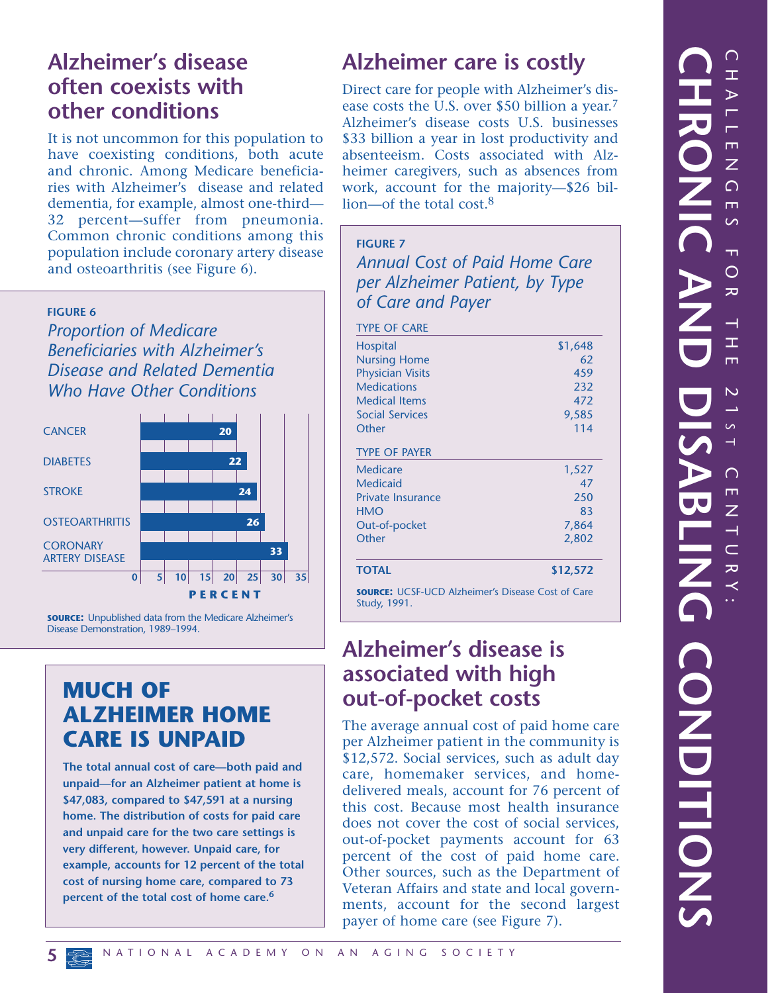#### **Alzheimer's disease often coexists with other conditions**

It is not uncommon for this population to have coexisting conditions, both acute and chronic. Among Medicare beneficiaries with Alzheimer's disease and related dementia, for example, almost one-third— 32 percent—suffer from pneumonia. Common chronic conditions among this population include coronary artery disease and osteoarthritis (see Figure 6).

#### **FIGURE 6**

*Proportion of Medicare Beneficiaries with Alzheimer's Disease and Related Dementia Who Have Other Conditions*



**SOURCE:** Unpublished data from the Medicare Alzheimer's Disease Demonstration, 1989–1994.

#### **MUCH OF ALZHEIMER HOME CARE IS UNPAID**

**The total annual cost of care—both paid and unpaid—for an Alzheimer patient at home is \$47,083, compared to \$47,591 at a nursing home. The distribution of costs for paid care and unpaid care for the two care settings is very different, however. Unpaid care, for example, accounts for 12 percent of the total cost of nursing home care, compared to 73 percent of the total cost of home care.6**

### **Alzheimer care is costly**

Direct care for people with Alzheimer's disease costs the U.S. over \$50 billion a year.7 Alzheimer's disease costs U.S. businesses \$33 billion a year in lost productivity and absenteeism. Costs associated with Alzheimer caregivers, such as absences from work, account for the majority—\$26 billion—of the total cost.8

**FIGURE 7** *Annual Cost of Paid Home Care per Alzheimer Patient, by Type of Care and Payer*

| <b>TYPE OF CARE</b>                                                      |          |  |
|--------------------------------------------------------------------------|----------|--|
| <b>Hospital</b>                                                          | \$1,648  |  |
| <b>Nursing Home</b>                                                      | 62       |  |
| <b>Physician Visits</b>                                                  | 459      |  |
| <b>Medications</b>                                                       | 232      |  |
| <b>Medical Items</b>                                                     | 472      |  |
| <b>Social Services</b>                                                   | 9,585    |  |
| Other                                                                    | 114      |  |
| <b>TYPE OF PAYER</b>                                                     |          |  |
| Medicare                                                                 | 1,527    |  |
| <b>Medicaid</b>                                                          | 47       |  |
| <b>Private Insurance</b>                                                 | 250      |  |
| <b>HMO</b>                                                               | 83       |  |
| Out-of-pocket                                                            | 7,864    |  |
| Other                                                                    | 2,802    |  |
|                                                                          |          |  |
| <b>TOTAL</b>                                                             | \$12,572 |  |
| <b>SOURCE:</b> UCSF-UCD Alzheimer's Disease Cost of Care<br>Study, 1991. |          |  |

#### **Alzheimer's disease is associated with high out-of-pocket costs**

The average annual cost of paid home care per Alzheimer patient in the community is \$12,572. Social services, such as adult day care, homemaker services, and homedelivered meals, account for 76 percent of this cost. Because most health insurance does not cover the cost of social services, out-of-pocket payments account for 63 percent of the cost of paid home care. Other sources, such as the Department of Veteran Affairs and state and local governments, account for the second largest payer of home care (see Figure 7).